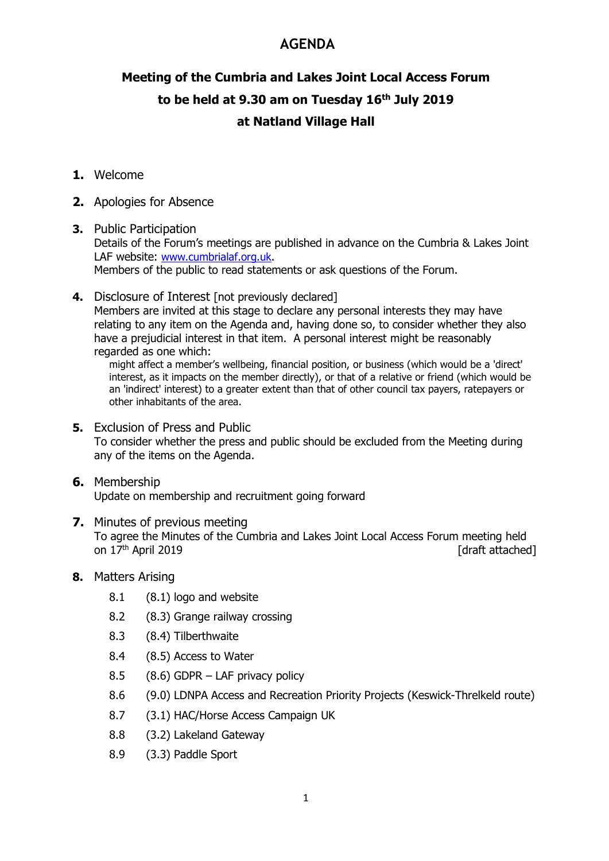# **AGENDA**

# Meeting of the Cumbria and Lakes Joint Local Access Forum to be held at 9.30 am on Tuesday 16<sup>th</sup> July 2019 at Natland Village Hall

- 1. Welcome
- 2. Apologies for Absence
- 3. Public Participation Details of the Forum's meetings are published in advance on the Cumbria & Lakes Joint LAF website: www.cumbrialaf.org.uk. Members of the public to read statements or ask questions of the Forum.
- 4. Disclosure of Interest [not previously declared] Members are invited at this stage to declare any personal interests they may have relating to any item on the Agenda and, having done so, to consider whether they also have a prejudicial interest in that item. A personal interest might be reasonably regarded as one which:

might affect a member's wellbeing, financial position, or business (which would be a 'direct' interest, as it impacts on the member directly), or that of a relative or friend (which would be an 'indirect' interest) to a greater extent than that of other council tax payers, ratepayers or other inhabitants of the area.

- 5. Exclusion of Press and Public To consider whether the press and public should be excluded from the Meeting during any of the items on the Agenda.
- 6. Membership Update on membership and recruitment going forward
- 7. Minutes of previous meeting To agree the Minutes of the Cumbria and Lakes Joint Local Access Forum meeting held on  $17<sup>th</sup>$  April 2019 **[draft attached]**
- 8. Matters Arising
	- 8.1 (8.1) logo and website
	- 8.2 (8.3) Grange railway crossing
	- 8.3 (8.4) Tilberthwaite
	- 8.4 (8.5) Access to Water
	- 8.5 (8.6) GDPR LAF privacy policy
	- 8.6 (9.0) LDNPA Access and Recreation Priority Projects (Keswick-Threlkeld route)
	- 8.7 (3.1) HAC/Horse Access Campaign UK
	- 8.8 (3.2) Lakeland Gateway
	- 8.9 (3.3) Paddle Sport